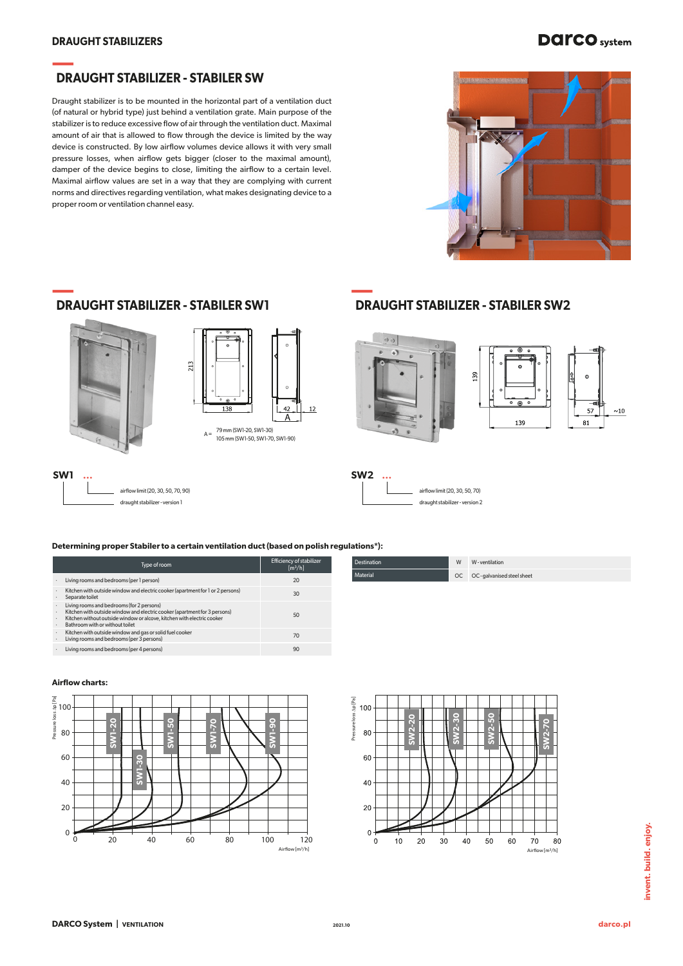### **DRAUGHT STABILIZERS**

**—**

## **DATCO** system

# **— DRAUGHT STABILIZER - STABILER SW**

Draught stabilizer is to be mounted in the horizontal part of a ventilation duct (of natural or hybrid type) just behind a ventilation grate. Main purpose of the stabilizer is to reduce excessive flow of air through the ventilation duct. Maximal amount of air that is allowed to flow through the device is limited by the way device is constructed. By low airflow volumes device allows it with very small pressure losses, when airflow gets bigger (closer to the maximal amount), damper of the device begins to close, limiting the airflow to a certain level. Maximal airflow values are set in a way that they are complying with current norms and directives regarding ventilation, what makes designating device to a proper room or ventilation channel easy.



# **— DRAUGHT STABILIZER - STABILER SW2**



### **Determining proper Stabiler to a certain ventilation duct (based on polish regulations\*):**

|                             | Type of room                                                                                                                                                                                                                        | Efficiency of stabilizer<br>$\left[\frac{m^3}{h}\right]$ |
|-----------------------------|-------------------------------------------------------------------------------------------------------------------------------------------------------------------------------------------------------------------------------------|----------------------------------------------------------|
| ٠                           | Living rooms and bedrooms (per 1 person)                                                                                                                                                                                            | 20                                                       |
| ٠<br>٠                      | Kitchen with outside window and electric cooker (apartment for 1 or 2 persons)<br>Separate toilet                                                                                                                                   | 30                                                       |
| $\mathbf{r}$<br>٠<br>٠<br>٠ | Living rooms and bedrooms (for 2 persons)<br>Kitchen with outside window and electric cooker (apartment for 3 persons)<br>Kitchen without outside window or alcove, kitchen with electric cooker<br>Bathroom with or without toilet | 50                                                       |
| ٠<br>٠                      | Kitchen with outside window and gas or solid fuel cooker<br>Living rooms and bedrooms (per 3 persons)                                                                                                                               | 70                                                       |
|                             | Living rooms and bedrooms (per 4 persons)                                                                                                                                                                                           | 90                                                       |

draught stabilizer - version 1

| .                  |   |                                |
|--------------------|---|--------------------------------|
| <b>Destination</b> | W | W-ventilation                  |
| <b>Material</b>    |   | OC OC - galvanised steel sheet |

draught stabilizer - version 2

### **Airflow charts:**



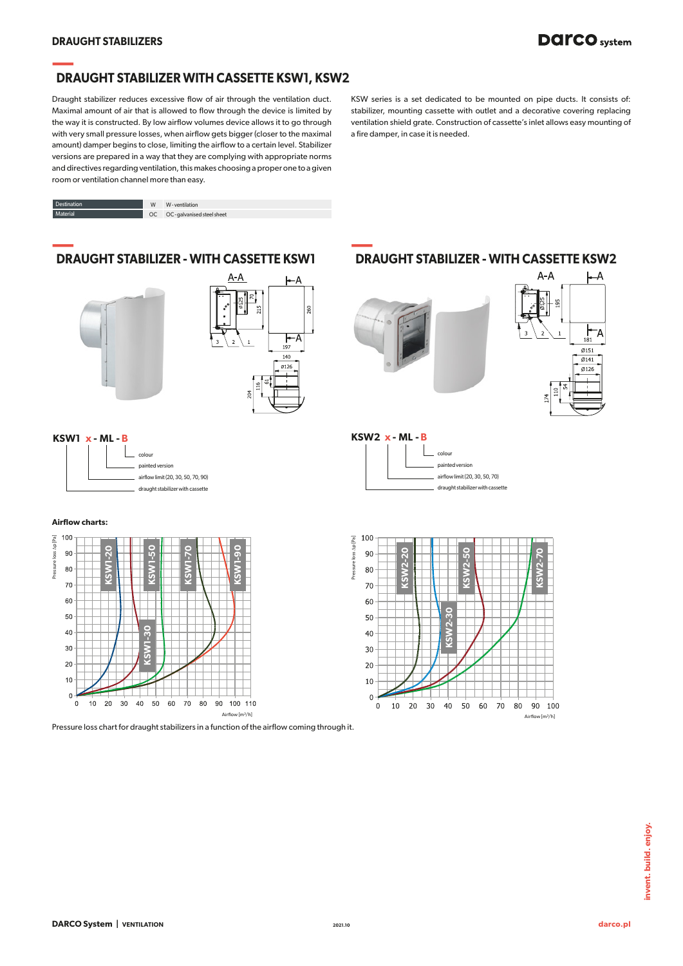# **DAICO** system

# **— DRAUGHT STABILIZER WITH CASSETTE KSW1, KSW2**

Draught stabilizer reduces excessive flow of air through the ventilation duct. Maximal amount of air that is allowed to flow through the device is limited by the way it is constructed. By low airflow volumes device allows it to go through with very small pressure losses, when airflow gets bigger (closer to the maximal amount) damper begins to close, limiting the airflow to a certain level. Stabilizer versions are prepared in a way that they are complying with appropriate norms and directives regarding ventilation, this makes choosing a proper one to a given room or ventilation channel more than easy.

| Destination | W | W-ventilation                |
|-------------|---|------------------------------|
| Material    |   | OC OC-galvanised steel sheet |

# **— DRAUGHT STABILIZER - WITH CASSETTE KSW1**





### **Airflow charts:**



Pressure loss chart for draught stabilizers in a function of the airflow coming through it.

KSW series is a set dedicated to be mounted on pipe ducts. It consists of: stabilizer, mounting cassette with outlet and a decorative covering replacing ventilation shield grate. Construction of cassette's inlet allows easy mounting of a fire damper, in case it is needed.

# $A - A$





**—**

140



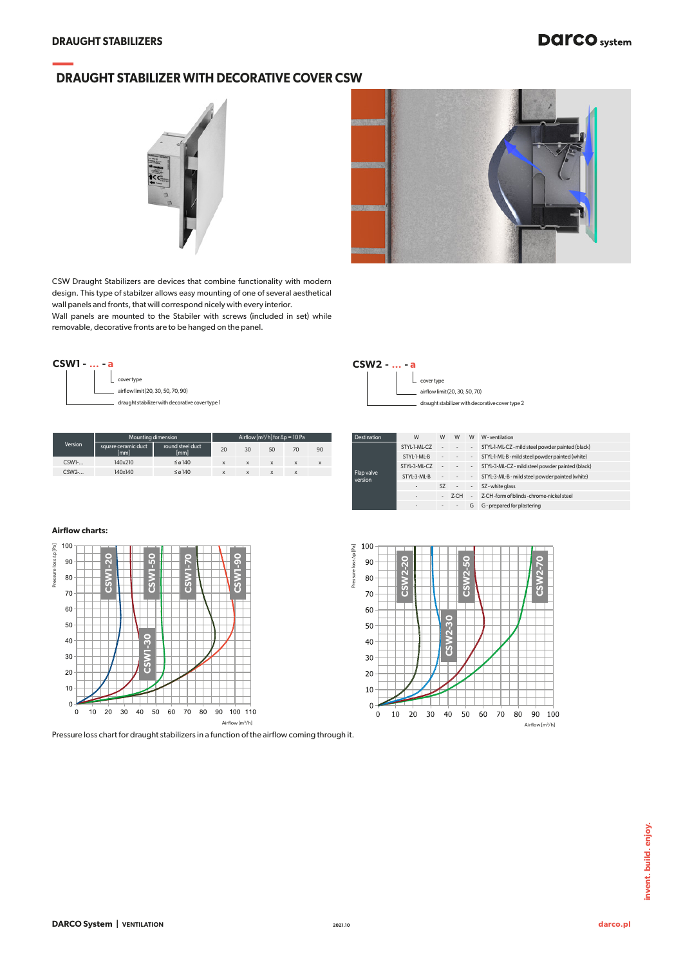# **— DRAUGHT STABILIZER WITH DECORATIVE COVER CSW**





CSW Draught Stabilizers are devices that combine functionality with modern design. This type of stabilzer allows easy mounting of one of several aesthetical wall panels and fronts, that will correspond nicely with every interior.

Wall panels are mounted to the Stabiler with screws (included in set) while removable, decorative fronts are to be hanged on the panel.

| $CSW1 -  - a$ |                                                 |
|---------------|-------------------------------------------------|
|               | covertype                                       |
|               | airflow limit (20, 30, 50, 70, 90)              |
|               | draught stabilizer with decorative cover type 1 |

| Version<br>square ceramic duct<br>round steel duct<br>30<br>20<br>90<br>70<br>50<br>[mm]<br>[mm]<br>140×210<br>$CSW1$ -<br>$\leq \sigma$ 140<br>X<br>x<br>x | Mounting dimension | Airflow $\left[\frac{m^3}{h}\right]$ for $\Delta p = 10$ Pa |  |  |  |  |  |
|-------------------------------------------------------------------------------------------------------------------------------------------------------------|--------------------|-------------------------------------------------------------|--|--|--|--|--|
|                                                                                                                                                             |                    |                                                             |  |  |  |  |  |
|                                                                                                                                                             |                    |                                                             |  |  |  |  |  |
| $CSW2$ -<br>140x140<br>$\leq \sigma$ 140<br>X<br>X                                                                                                          |                    |                                                             |  |  |  |  |  |

| $CSW2 -  - a$ |                                                                                   |
|---------------|-----------------------------------------------------------------------------------|
|               | covertype                                                                         |
|               | airflow limit (20, 30, 50, 70)<br>draught stabilizer with decorative cover type 2 |
|               |                                                                                   |

| Destination           | W            | W   | W              | W                        | W-ventilation                                    |
|-----------------------|--------------|-----|----------------|--------------------------|--------------------------------------------------|
|                       | STYI-1-MI-CZ | ٠   |                | ٠.                       | STYL-1-ML-CZ - mild steel powder painted (black) |
|                       | STYL-1-ML-B  | ٠   |                | ٠.                       | STYL-1-ML-B - mild steel powder painted (white)  |
|                       | STYI-3-MI-CZ | - 1 |                | $\overline{\phantom{a}}$ | STYL-3-ML-CZ - mild steel powder painted (black) |
| Flap valve<br>version | STYL-3-ML-B  | ٠   |                | $\overline{\phantom{a}}$ | STYL-3-ML-B - mild steel powder painted (white)  |
|                       | ۰            | SZ. | $\blacksquare$ | $\overline{\phantom{a}}$ | SZ-white glass                                   |
|                       | ٠            |     | $Z-CH$         | ٠                        | Z-CH-form of blinds-chrome-nickel steel          |
|                       |              | ۰   | ۰              | G                        | G - prepared for plastering                      |

Airflow [m³/h]

90 100

**CSW2-70**

### **Airflow charts:**



Pressure loss chart for draught stabilizers in a function of the airflow coming through it.

Pressure loss ∆p [Pa]

Pressure loss Ap<sup>[Pa]</sup>

100

 $90$ 

80

70

60

50

 $40$ 

 $30$ 

 $20$ 

 $10$ 

 $\mathbf{0}$ 

 $\pmb{0}$  $10\,$  $20\,$ 30  $40$  $50\,$ 60  $70\,$ 80

**CSW2-20**

**CSW2-30**

**CSW2-50**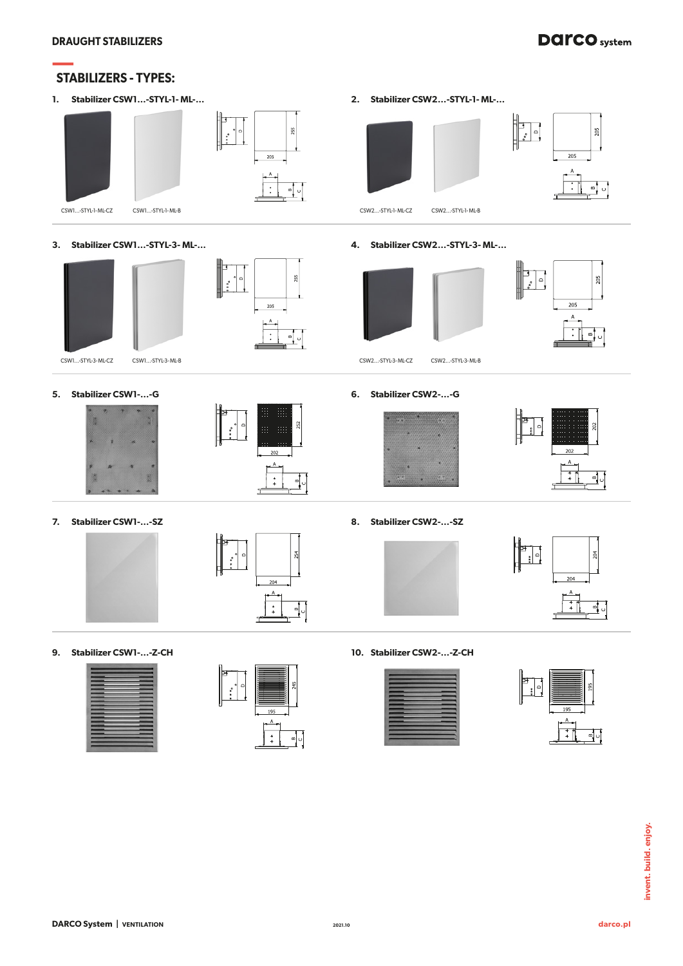### **DRAUGHT STABILIZERS**

# **DATCO** system

# **— STABILIZERS - TYPES:**

**1. Stabilizer CSW1…-STYL-1- ML-… 2. Stabilizer CSW2…-STYL-1- ML-…**

















**9. Stabilizer CSW1-…-Z-CH 10. Stabilizer CSW2-…-Z-CH**



| ۰<br>$\sim$<br>e e e | Ŕ |          | 245    |
|----------------------|---|----------|--------|
|                      |   | 195<br>Α |        |
|                      |   |          | œ<br>J |



**3. Stabilizer CSW1…-STYL-3- ML-… 4. Stabilizer CSW2…-STYL-3- ML-…**





CSW1…-STYL-3- ML-CZ CSW1…-STYL-3- ML-B CSW2…-STYL-3- ML-CZ CSW2…-STYL-3- ML-B





**7. Stabilizer CSW1-…-SZ 8. Stabilizer CSW2-…-SZ**